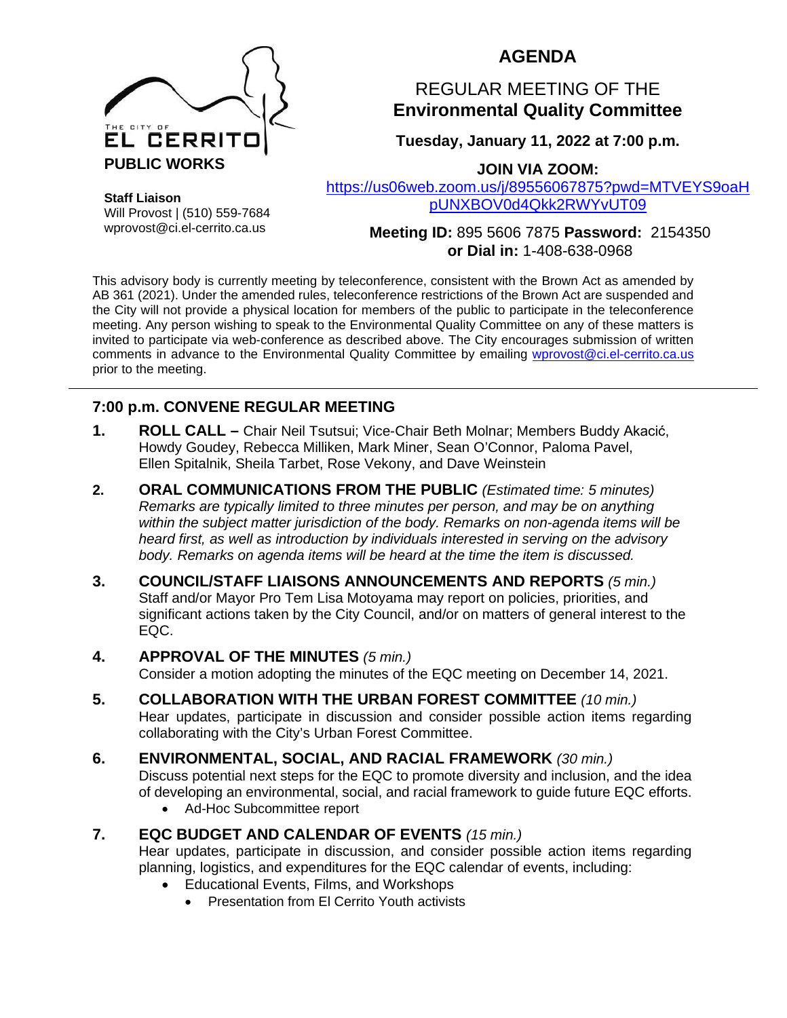

# **AGENDA**

# REGULAR MEETING OF THE **Environmental Quality Committee**

**Tuesday, January 11, 2022 at 7:00 p.m.**

**JOIN VIA ZOOM:**

[https://us06web.zoom.us/j/89556067875?pwd=MTVEYS9oaH](https://us06web.zoom.us/j/89556067875?pwd=MTVEYS9oaHpUNXBOV0d4Qkk2RWYvUT09) [pUNXBOV0d4Qkk2RWYvUT09](https://us06web.zoom.us/j/89556067875?pwd=MTVEYS9oaHpUNXBOV0d4Qkk2RWYvUT09)

**Staff Liaison** Will Provost | (510) 559-7684 wprovost@ci.el-cerrito.ca.us

**Meeting ID:** 895 5606 7875 **Password:** 2154350 **or Dial in:** 1-408-638-0968

This advisory body is currently meeting by teleconference, consistent with the Brown Act as amended by AB 361 (2021). Under the amended rules, teleconference restrictions of the Brown Act are suspended and the City will not provide a physical location for members of the public to participate in the teleconference meeting. Any person wishing to speak to the Environmental Quality Committee on any of these matters is invited to participate via web-conference as described above. The City encourages submission of written comments in advance to the Environmental Quality Committee by emailing [wprovost@ci.el-cerrito.ca.us](mailto:wprovost@ci.el-cerrito.ca.us) prior to the meeting.

# **7:00 p.m. CONVENE REGULAR MEETING**

- **1. ROLL CALL –** Chair Neil Tsutsui; Vice-Chair Beth Molnar; Members Buddy Akacić, Howdy Goudey, Rebecca Milliken, Mark Miner, Sean O'Connor, Paloma Pavel, Ellen Spitalnik, Sheila Tarbet, Rose Vekony, and Dave Weinstein
- **2. ORAL COMMUNICATIONS FROM THE PUBLIC** *(Estimated time: 5 minutes) Remarks are typically limited to three minutes per person, and may be on anything within the subject matter jurisdiction of the body. Remarks on non-agenda items will be heard first, as well as introduction by individuals interested in serving on the advisory body. Remarks on agenda items will be heard at the time the item is discussed.*
- **3. COUNCIL/STAFF LIAISONS ANNOUNCEMENTS AND REPORTS** *(5 min.)* Staff and/or Mayor Pro Tem Lisa Motoyama may report on policies, priorities, and significant actions taken by the City Council, and/or on matters of general interest to the EQC.

#### **4. APPROVAL OF THE MINUTES** *(5 min.)* Consider a motion adopting the minutes of the EQC meeting on December 14, 2021.

**5. COLLABORATION WITH THE URBAN FOREST COMMITTEE** *(10 min.)* Hear updates, participate in discussion and consider possible action items regarding collaborating with the City's Urban Forest Committee.

#### **6. ENVIRONMENTAL, SOCIAL, AND RACIAL FRAMEWORK** *(30 min.)* Discuss potential next steps for the EQC to promote diversity and inclusion, and the idea of developing an environmental, social, and racial framework to guide future EQC efforts.

• Ad-Hoc Subcommittee report

# **7. EQC BUDGET AND CALENDAR OF EVENTS** *(15 min.)*

Hear updates, participate in discussion, and consider possible action items regarding planning, logistics, and expenditures for the EQC calendar of events, including:

- Educational Events, Films, and Workshops
	- Presentation from El Cerrito Youth activists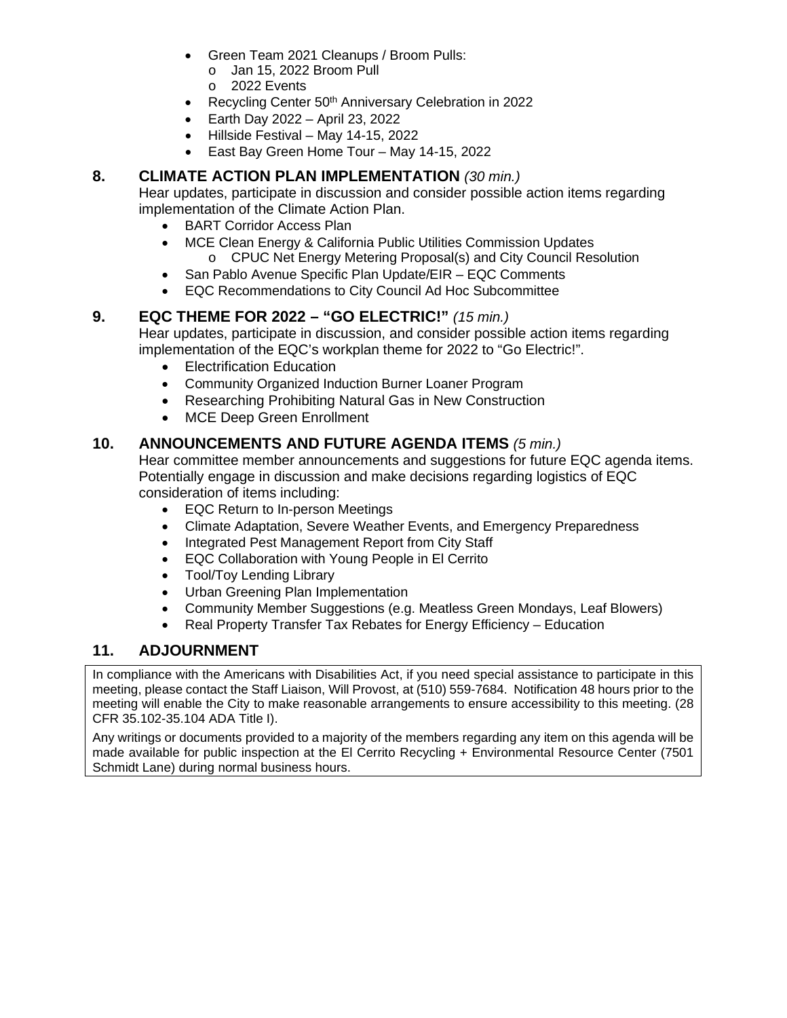- Green Team 2021 Cleanups / Broom Pulls:
	- o Jan 15, 2022 Broom Pull
	- o 2022 Events
- Recycling Center 50<sup>th</sup> Anniversary Celebration in 2022
- Earth Day 2022 April 23, 2022
- Hillside Festival May 14-15, 2022
- East Bay Green Home Tour May 14-15, 2022

## **8. CLIMATE ACTION PLAN IMPLEMENTATION** *(30 min.)*

Hear updates, participate in discussion and consider possible action items regarding implementation of the Climate Action Plan.

- BART Corridor Access Plan
- MCE Clean Energy & California Public Utilities Commission Updates
	- o CPUC Net Energy Metering Proposal(s) and City Council Resolution
- San Pablo Avenue Specific Plan Update/EIR EQC Comments
- EQC Recommendations to City Council Ad Hoc Subcommittee

#### **9. EQC THEME FOR 2022 – "GO ELECTRIC!"** *(15 min.)*

Hear updates, participate in discussion, and consider possible action items regarding implementation of the EQC's workplan theme for 2022 to "Go Electric!".

- **Electrification Education**
- Community Organized Induction Burner Loaner Program
- Researching Prohibiting Natural Gas in New Construction
- MCE Deep Green Enrollment

#### **10. ANNOUNCEMENTS AND FUTURE AGENDA ITEMS** *(5 min.)*

Hear committee member announcements and suggestions for future EQC agenda items. Potentially engage in discussion and make decisions regarding logistics of EQC consideration of items including:

- EQC Return to In-person Meetings
- Climate Adaptation, Severe Weather Events, and Emergency Preparedness
- Integrated Pest Management Report from City Staff
- EQC Collaboration with Young People in El Cerrito
- Tool/Toy Lending Library
- Urban Greening Plan Implementation
- Community Member Suggestions (e.g. Meatless Green Mondays, Leaf Blowers)
- Real Property Transfer Tax Rebates for Energy Efficiency Education

# **11. ADJOURNMENT**

In compliance with the Americans with Disabilities Act, if you need special assistance to participate in this meeting, please contact the Staff Liaison, Will Provost, at (510) 559-7684. Notification 48 hours prior to the meeting will enable the City to make reasonable arrangements to ensure accessibility to this meeting. (28 CFR 35.102-35.104 ADA Title I).

Any writings or documents provided to a majority of the members regarding any item on this agenda will be made available for public inspection at the El Cerrito Recycling + Environmental Resource Center (7501 Schmidt Lane) during normal business hours.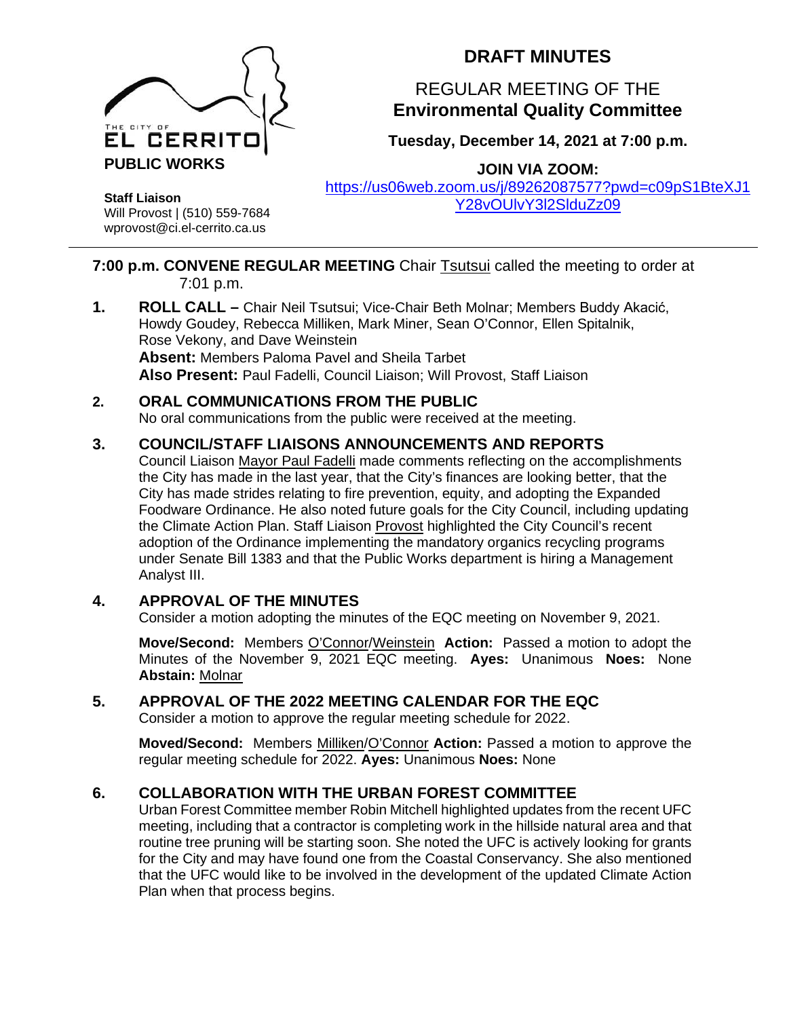

# **DRAFT MINUTES**

# REGULAR MEETING OF THE **Environmental Quality Committee**

**Tuesday, December 14, 2021 at 7:00 p.m.**

**JOIN VIA ZOOM:**

[https://us06web.zoom.us/j/89262087577?pwd=c09pS1BteXJ1](https://us06web.zoom.us/j/89262087577?pwd=c09pS1BteXJ1Y28vOUlvY3l2SlduZz09) [Y28vOUlvY3l2SlduZz09](https://us06web.zoom.us/j/89262087577?pwd=c09pS1BteXJ1Y28vOUlvY3l2SlduZz09)

**Staff Liaison** Will Provost | (510) 559-7684 wprovost@ci.el-cerrito.ca.us

## **7:00 p.m. CONVENE REGULAR MEETING** Chair Tsutsui called the meeting to order at 7:01 p.m.

**1. ROLL CALL –** Chair Neil Tsutsui; Vice-Chair Beth Molnar; Members Buddy Akacić, Howdy Goudey, Rebecca Milliken, Mark Miner, Sean O'Connor, Ellen Spitalnik, Rose Vekony, and Dave Weinstein **Absent:** Members Paloma Pavel and Sheila Tarbet **Also Present:** Paul Fadelli, Council Liaison; Will Provost, Staff Liaison

## **2. ORAL COMMUNICATIONS FROM THE PUBLIC**

No oral communications from the public were received at the meeting.

# **3. COUNCIL/STAFF LIAISONS ANNOUNCEMENTS AND REPORTS**

Council Liaison Mayor Paul Fadelli made comments reflecting on the accomplishments the City has made in the last year, that the City's finances are looking better, that the City has made strides relating to fire prevention, equity, and adopting the Expanded Foodware Ordinance. He also noted future goals for the City Council, including updating the Climate Action Plan. Staff Liaison Provost highlighted the City Council's recent adoption of the Ordinance implementing the mandatory organics recycling programs under Senate Bill 1383 and that the Public Works department is hiring a Management Analyst III.

#### **4. APPROVAL OF THE MINUTES**

Consider a motion adopting the minutes of the EQC meeting on November 9, 2021.

**Move/Second:** Members O'Connor/Weinstein **Action:** Passed a motion to adopt the Minutes of the November 9, 2021 EQC meeting. **Ayes:** Unanimous **Noes:** None **Abstain:** Molnar

#### **5. APPROVAL OF THE 2022 MEETING CALENDAR FOR THE EQC**

Consider a motion to approve the regular meeting schedule for 2022.

**Moved/Second:** Members Milliken/O'Connor **Action:** Passed a motion to approve the regular meeting schedule for 2022. **Ayes:** Unanimous **Noes:** None

# **6. COLLABORATION WITH THE URBAN FOREST COMMITTEE**

Urban Forest Committee member Robin Mitchell highlighted updates from the recent UFC meeting, including that a contractor is completing work in the hillside natural area and that routine tree pruning will be starting soon. She noted the UFC is actively looking for grants for the City and may have found one from the Coastal Conservancy. She also mentioned that the UFC would like to be involved in the development of the updated Climate Action Plan when that process begins.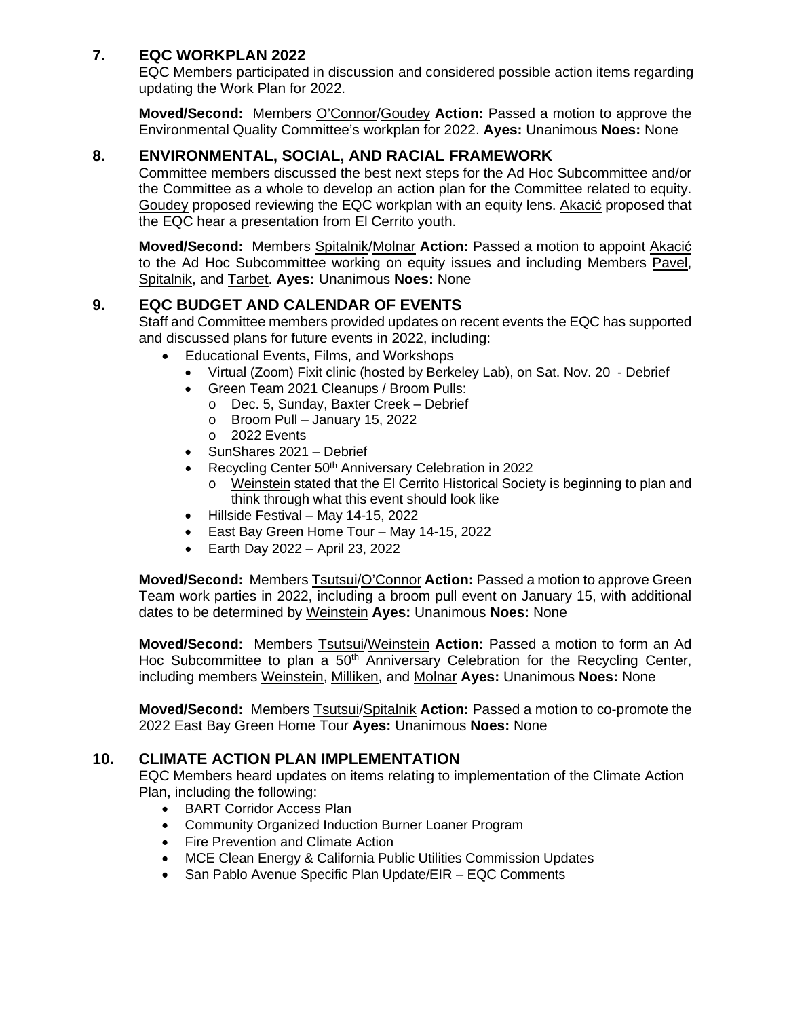# **7. EQC WORKPLAN 2022**

EQC Members participated in discussion and considered possible action items regarding updating the Work Plan for 2022.

**Moved/Second:** Members O'Connor/Goudey **Action:** Passed a motion to approve the Environmental Quality Committee's workplan for 2022. **Ayes:** Unanimous **Noes:** None

## **8. ENVIRONMENTAL, SOCIAL, AND RACIAL FRAMEWORK**

Committee members discussed the best next steps for the Ad Hoc Subcommittee and/or the Committee as a whole to develop an action plan for the Committee related to equity. Goudey proposed reviewing the EQC workplan with an equity lens. Akacić proposed that the EQC hear a presentation from El Cerrito youth.

**Moved/Second:** Members Spitalnik/Molnar **Action:** Passed a motion to appoint Akacić to the Ad Hoc Subcommittee working on equity issues and including Members Pavel, Spitalnik, and Tarbet. **Ayes:** Unanimous **Noes:** None

# **9. EQC BUDGET AND CALENDAR OF EVENTS**

Staff and Committee members provided updates on recent events the EQC has supported and discussed plans for future events in 2022, including:

- Educational Events, Films, and Workshops
	- Virtual (Zoom) Fixit clinic (hosted by Berkeley Lab), on Sat. Nov. 20 Debrief
	- Green Team 2021 Cleanups / Broom Pulls:
		- o Dec. 5, Sunday, Baxter Creek Debrief
		- o Broom Pull January 15, 2022
		- o 2022 Events
	- SunShares 2021 Debrief
	- Recycling Center 50<sup>th</sup> Anniversary Celebration in 2022
		- o Weinstein stated that the El Cerrito Historical Society is beginning to plan and think through what this event should look like
	- Hillside Festival May 14-15, 2022
	- East Bay Green Home Tour May 14-15, 2022
	- Earth Day 2022 April 23, 2022

**Moved/Second:** Members Tsutsui/O'Connor **Action:** Passed a motion to approve Green Team work parties in 2022, including a broom pull event on January 15, with additional dates to be determined by Weinstein **Ayes:** Unanimous **Noes:** None

**Moved/Second:** Members Tsutsui/Weinstein **Action:** Passed a motion to form an Ad Hoc Subcommittee to plan a 50<sup>th</sup> Anniversary Celebration for the Recycling Center, including members Weinstein, Milliken, and Molnar **Ayes:** Unanimous **Noes:** None

**Moved/Second:** Members Tsutsui/Spitalnik **Action:** Passed a motion to co-promote the 2022 East Bay Green Home Tour **Ayes:** Unanimous **Noes:** None

#### **10. CLIMATE ACTION PLAN IMPLEMENTATION**

EQC Members heard updates on items relating to implementation of the Climate Action Plan, including the following:

- BART Corridor Access Plan
- Community Organized Induction Burner Loaner Program
- Fire Prevention and Climate Action
- MCE Clean Energy & California Public Utilities Commission Updates
- San Pablo Avenue Specific Plan Update/EIR EQC Comments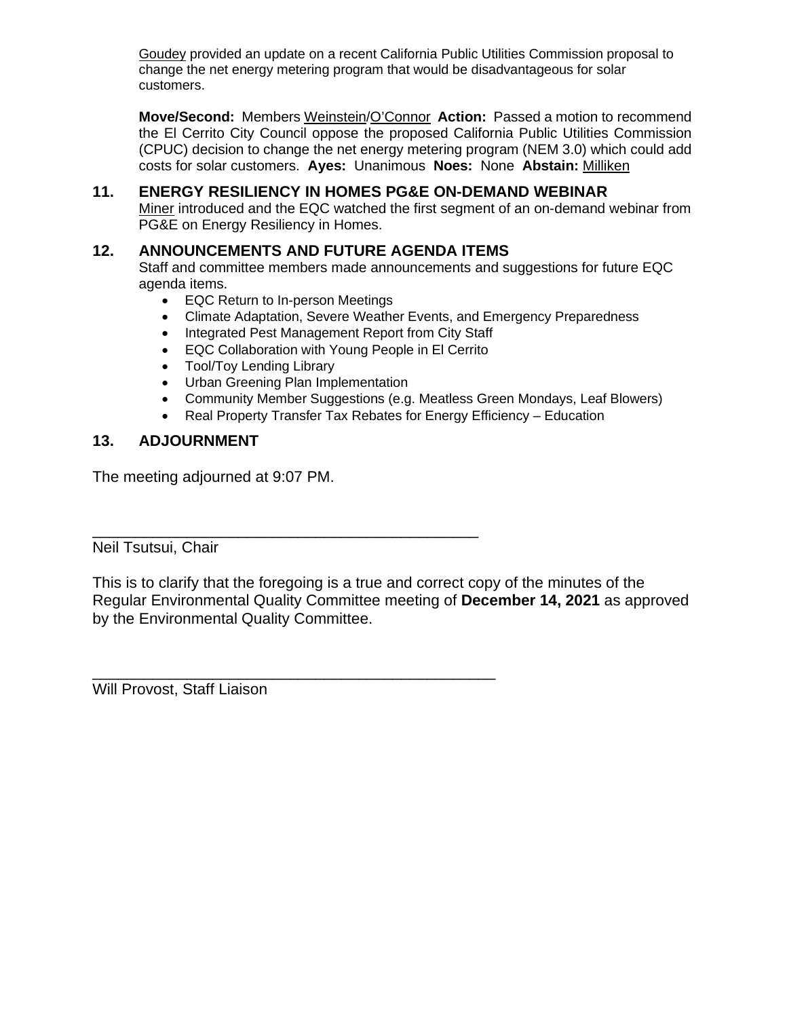Goudey provided an update on a recent California Public Utilities Commission proposal to change the net energy metering program that would be disadvantageous for solar customers.

**Move/Second:** Members Weinstein/O'Connor **Action:** Passed a motion to recommend the El Cerrito City Council oppose the proposed California Public Utilities Commission (CPUC) decision to change the net energy metering program (NEM 3.0) which could add costs for solar customers. **Ayes:** Unanimous **Noes:** None **Abstain:** Milliken

#### **11. ENERGY RESILIENCY IN HOMES PG&E ON-DEMAND WEBINAR**

Miner introduced and the EQC watched the first segment of an on-demand webinar from PG&E on Energy Resiliency in Homes.

#### **12. ANNOUNCEMENTS AND FUTURE AGENDA ITEMS**

Staff and committee members made announcements and suggestions for future EQC agenda items.

- EQC Return to In-person Meetings
- Climate Adaptation, Severe Weather Events, and Emergency Preparedness
- Integrated Pest Management Report from City Staff
- EQC Collaboration with Young People in El Cerrito
- Tool/Toy Lending Library
- Urban Greening Plan Implementation

\_\_\_\_\_\_\_\_\_\_\_\_\_\_\_\_\_\_\_\_\_\_\_\_\_\_\_\_\_\_\_\_\_\_\_\_\_\_\_\_\_\_\_\_\_

\_\_\_\_\_\_\_\_\_\_\_\_\_\_\_\_\_\_\_\_\_\_\_\_\_\_\_\_\_\_\_\_\_\_\_\_\_\_\_\_\_\_\_\_\_\_\_

- Community Member Suggestions (e.g. Meatless Green Mondays, Leaf Blowers)
- Real Property Transfer Tax Rebates for Energy Efficiency Education

#### **13. ADJOURNMENT**

The meeting adjourned at 9:07 PM.

Neil Tsutsui, Chair

This is to clarify that the foregoing is a true and correct copy of the minutes of the Regular Environmental Quality Committee meeting of **December 14, 2021** as approved by the Environmental Quality Committee.

Will Provost, Staff Liaison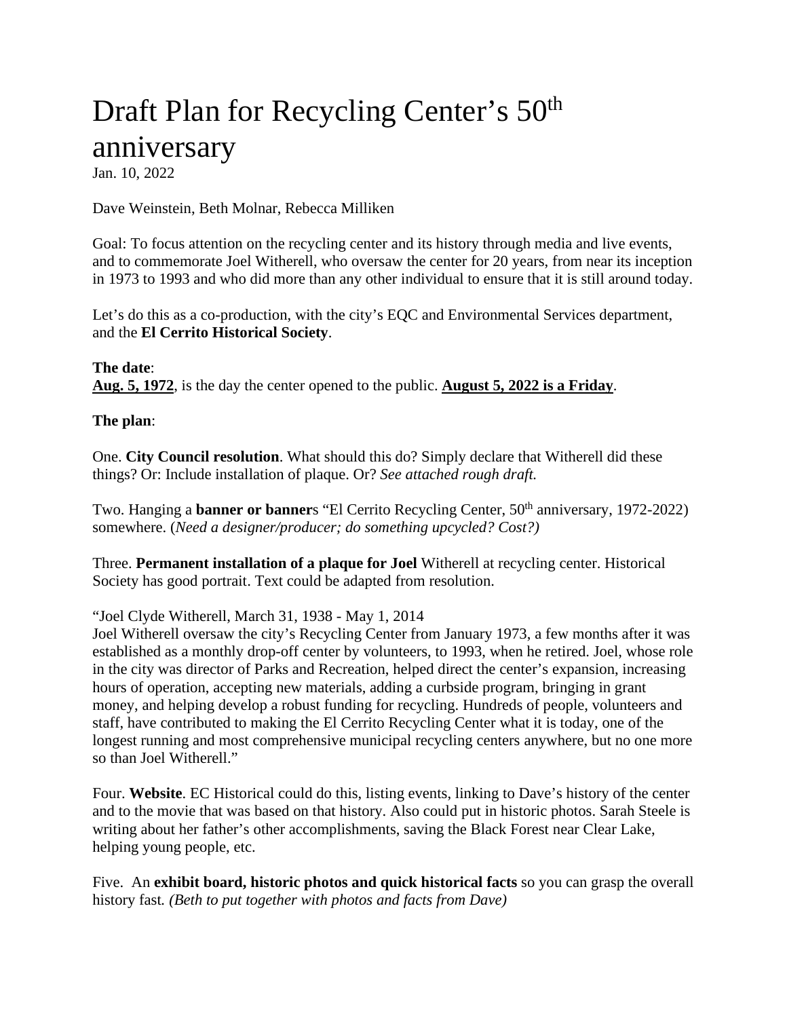# Draft Plan for Recycling Center's  $50<sup>th</sup>$ anniversary

Jan. 10, 2022

Dave Weinstein, Beth Molnar, Rebecca Milliken

Goal: To focus attention on the recycling center and its history through media and live events, and to commemorate Joel Witherell, who oversaw the center for 20 years, from near its inception in 1973 to 1993 and who did more than any other individual to ensure that it is still around today.

Let's do this as a co-production, with the city's EQC and Environmental Services department, and the **El Cerrito Historical Society**.

**The date**: **Aug. 5, 1972**, is the day the center opened to the public. **August 5, 2022 is a Friday**.

**The plan**:

One. **City Council resolution**. What should this do? Simply declare that Witherell did these things? Or: Include installation of plaque. Or? *See attached rough draft.*

Two. Hanging a **banner or banner**s "El Cerrito Recycling Center, 50th anniversary, 1972-2022) somewhere. (*Need a designer/producer; do something upcycled? Cost?)*

Three. **Permanent installation of a plaque for Joel** Witherell at recycling center. Historical Society has good portrait. Text could be adapted from resolution.

"Joel Clyde Witherell, March 31, 1938 - May 1, 2014

Joel Witherell oversaw the city's Recycling Center from January 1973, a few months after it was established as a monthly drop-off center by volunteers, to 1993, when he retired. Joel, whose role in the city was director of Parks and Recreation, helped direct the center's expansion, increasing hours of operation, accepting new materials, adding a curbside program, bringing in grant money, and helping develop a robust funding for recycling. Hundreds of people, volunteers and staff, have contributed to making the El Cerrito Recycling Center what it is today, one of the longest running and most comprehensive municipal recycling centers anywhere, but no one more so than Joel Witherell."

Four. **Website**. EC Historical could do this, listing events, linking to Dave's history of the center and to the movie that was based on that history. Also could put in historic photos. Sarah Steele is writing about her father's other accomplishments, saving the Black Forest near Clear Lake, helping young people, etc.

Five. An **exhibit board, historic photos and quick historical facts** so you can grasp the overall history fast*. (Beth to put together with photos and facts from Dave)*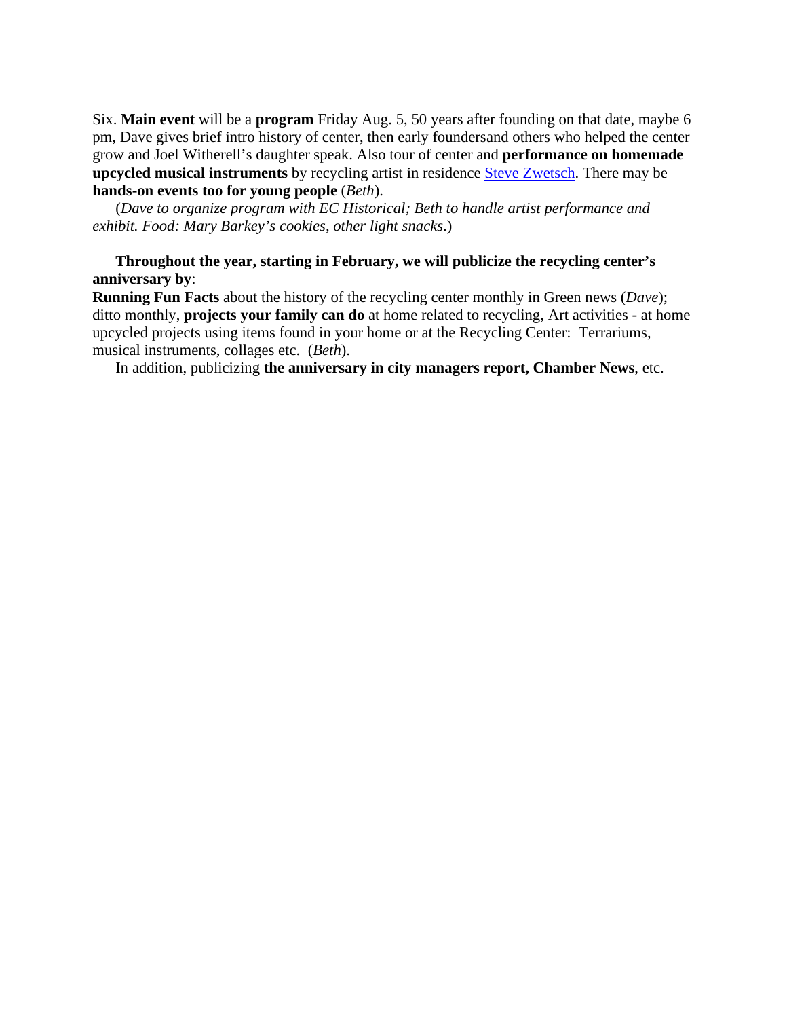Six. **Main event** will be a **program** Friday Aug. 5, 50 years after founding on that date, maybe 6 pm, Dave gives brief intro history of center, then early foundersand others who helped the center grow and Joel Witherell's daughter speak. Also tour of center and **performance on homemade upcycled musical instruments** by recycling artist in residence [Steve Zwetsch.](https://abc7news.com/cigar-box-guitars-music-boxes-folk-music-blues/6698198/) There may be **hands-on events too for young people** (*Beth*).

(*Dave to organize program with EC Historical; Beth to handle artist performance and exhibit. Food: Mary Barkey's cookies, other light snacks*.)

#### **Throughout the year, starting in February, we will publicize the recycling center's anniversary by**:

**Running Fun Facts** about the history of the recycling center monthly in Green news (*Dave*); ditto monthly, **projects your family can do** at home related to recycling, Art activities - at home upcycled projects using items found in your home or at the Recycling Center: Terrariums, musical instruments, collages etc. (*Beth*).

In addition, publicizing **the anniversary in city managers report, Chamber News**, etc.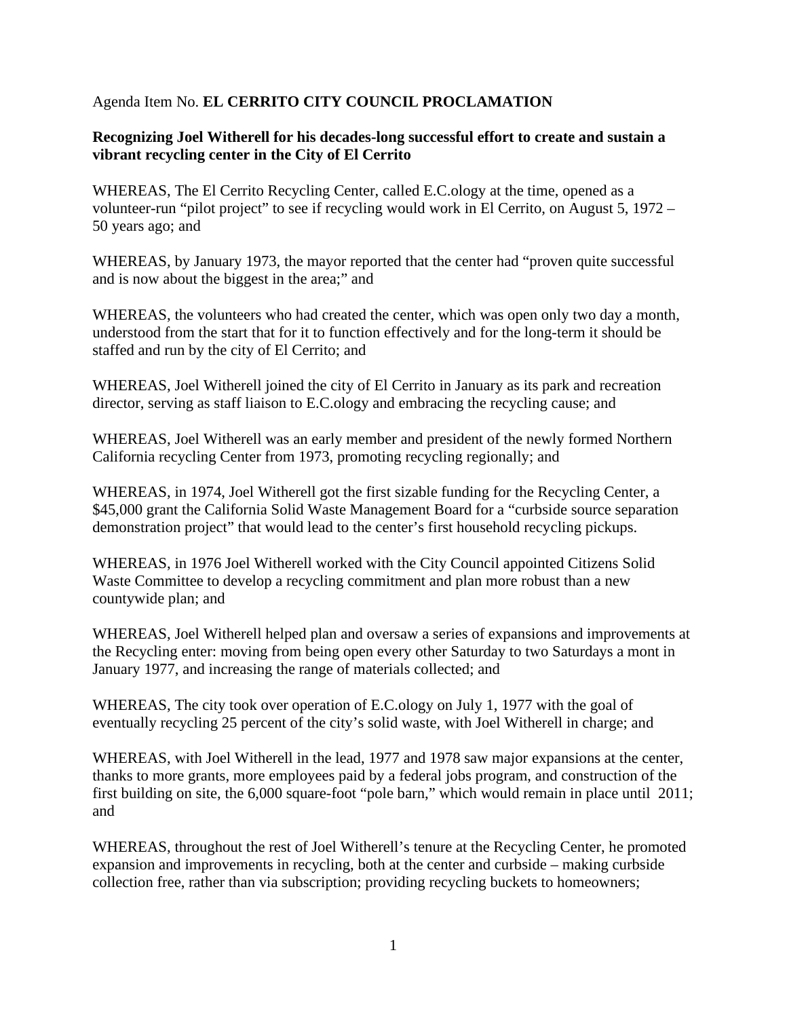#### Agenda Item No. **EL CERRITO CITY COUNCIL PROCLAMATION**

#### **Recognizing Joel Witherell for his decades-long successful effort to create and sustain a vibrant recycling center in the City of El Cerrito**

WHEREAS, The El Cerrito Recycling Center, called E.C.ology at the time, opened as a volunteer-run "pilot project" to see if recycling would work in El Cerrito, on August 5, 1972 – 50 years ago; and

WHEREAS, by January 1973, the mayor reported that the center had "proven quite successful and is now about the biggest in the area;" and

WHEREAS, the volunteers who had created the center, which was open only two day a month, understood from the start that for it to function effectively and for the long-term it should be staffed and run by the city of El Cerrito; and

WHEREAS, Joel Witherell joined the city of El Cerrito in January as its park and recreation director, serving as staff liaison to E.C.ology and embracing the recycling cause; and

WHEREAS, Joel Witherell was an early member and president of the newly formed Northern California recycling Center from 1973, promoting recycling regionally; and

WHEREAS, in 1974, Joel Witherell got the first sizable funding for the Recycling Center, a \$45,000 grant the California Solid Waste Management Board for a "curbside source separation" demonstration project" that would lead to the center's first household recycling pickups.

WHEREAS, in 1976 Joel Witherell worked with the City Council appointed Citizens Solid Waste Committee to develop a recycling commitment and plan more robust than a new countywide plan; and

WHEREAS, Joel Witherell helped plan and oversaw a series of expansions and improvements at the Recycling enter: moving from being open every other Saturday to two Saturdays a mont in January 1977, and increasing the range of materials collected; and

WHEREAS, The city took over operation of E.C.ology on July 1, 1977 with the goal of eventually recycling 25 percent of the city's solid waste, with Joel Witherell in charge; and

WHEREAS, with Joel Witherell in the lead, 1977 and 1978 saw major expansions at the center, thanks to more grants, more employees paid by a federal jobs program, and construction of the first building on site, the 6,000 square-foot "pole barn," which would remain in place until 2011; and

WHEREAS, throughout the rest of Joel Witherell's tenure at the Recycling Center, he promoted expansion and improvements in recycling, both at the center and curbside – making curbside collection free, rather than via subscription; providing recycling buckets to homeowners;